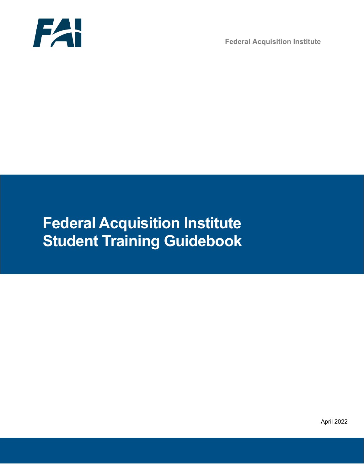

**Federal Acquisition Institute**

# **Federal Acquisition Institute Student Training Guidebook**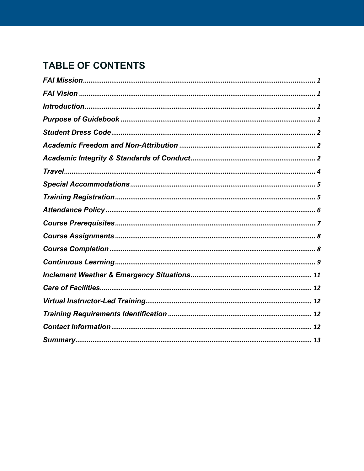# **TABLE OF CONTENTS**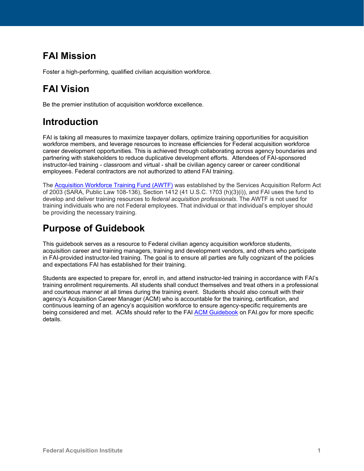# <span id="page-2-0"></span>**FAI Mission**

Foster a high-performing, qualified civilian acquisition workforce.

# <span id="page-2-1"></span>**FAI Vision**

Be the premier institution of acquisition workforce excellence.

### <span id="page-2-2"></span>**Introduction**

FAI is taking all measures to maximize taxpayer dollars, optimize training opportunities for acquisition workforce members, and leverage resources to increase efficiencies for Federal acquisition workforce career development opportunities. This is achieved through collaborating across agency boundaries and partnering with stakeholders to reduce duplicative development efforts. Attendees of FAI-sponsored instructor-led training - classroom and virtual - shall be civilian agency career or career conditional employees. Federal contractors are not authorized to attend FAI training.

The [Acquisition Workforce Training Fund \(AWTF\)](https://www.fai.gov/about/acquisition-workforce-training-fund) was established by the Services Acquisition Reform Act of 2003 (SARA, Public Law 108-136), Section 1412 (41 U.S.C. 1703 (h)(3)(i)), and FAI uses the fund to develop and deliver training resources to *federal acquisition professionals*. The AWTF is not used for training individuals who are not Federal employees. That individual or that individual's employer should be providing the necessary training.

# <span id="page-2-3"></span>**Purpose of Guidebook**

This guidebook serves as a resource to Federal civilian agency acquisition workforce students, acquisition career and training managers, training and development vendors, and others who participate in FAI-provided instructor-led training. The goal is to ensure all parties are fully cognizant of the policies and expectations FAI has established for their training.

Students are expected to prepare for, enroll in, and attend instructor-led training in accordance with FAI's training enrollment requirements. All students shall conduct themselves and treat others in a professional and courteous manner at all times during the training event. Students should also consult with their agency's Acquisition Career Manager (ACM) who is accountable for the training, certification, and continuous learning of an agency's acquisition workforce to ensure agency-specific requirements are being considered and met. ACMs should refer to the FAI [ACM Guidebook](https://www.fai.gov/sites/default/files/2022-02/2018-03-27-ACM-Guidebook_Logo_Updated_2.6.22.pdf) on FAI.gov for more specific details.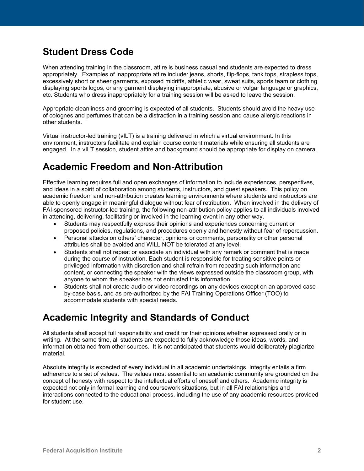### <span id="page-3-0"></span>**Student Dress Code**

When attending training in the classroom, attire is business casual and students are expected to dress appropriately. Examples of inappropriate attire include: jeans, shorts, flip-flops, tank tops, strapless tops, excessively short or sheer garments, exposed midriffs, athletic wear, sweat suits, sports team or clothing displaying sports logos, or any garment displaying inappropriate, abusive or vulgar language or graphics, etc. Students who dress inappropriately for a training session will be asked to leave the session.

Appropriate cleanliness and grooming is expected of all students. Students should avoid the heavy use of colognes and perfumes that can be a distraction in a training session and cause allergic reactions in other students.

Virtual instructor-led training (vILT) is a [training](http://en.wikipedia.org/wiki/Training) delivered in which a [virtual environment.](http://en.wikipedia.org/wiki/Virtual_environment) In this environment, instructors facilitate and explain course content materials while ensuring all students are engaged. In a vILT session, student attire and background should be appropriate for display on camera.

### <span id="page-3-1"></span>**Academic Freedom and Non-Attribution**

Effective learning requires full and open exchanges of information to include experiences, perspectives, and ideas in a spirit of collaboration among students, instructors, and guest speakers. This policy on academic freedom and non-attribution creates learning environments where students and instructors are able to openly engage in meaningful dialogue without fear of retribution. When involved in the delivery of FAI-sponsored instructor-led training, the following non-attribution policy applies to all individuals involved in attending, delivering, facilitating or involved in the learning event in any other way.

- Students may respectfully express their opinions and experiences concerning current or proposed policies, regulations, and procedures openly and honestly without fear of repercussion.
- Personal attacks on others' character, opinions or comments, personality or other personal attributes shall be avoided and WILL NOT be tolerated at any level.
- Students shall not repeat or associate an individual with any remark or comment that is made during the course of instruction. Each student is responsible for treating sensitive points or privileged information with discretion and shall refrain from repeating such information and content, or connecting the speaker with the views expressed outside the classroom group, with anyone to whom the speaker has not entrusted this information.
- Students shall not create audio or video recordings on any devices except on an approved caseby-case basis, and as pre-authorized by the FAI Training Operations Officer (TOO) to accommodate students with special needs.

### <span id="page-3-2"></span>**Academic Integrity and Standards of Conduct**

All students shall accept full responsibility and credit for their opinions whether expressed orally or in writing. At the same time, all students are expected to fully acknowledge those ideas, words, and information obtained from other sources. It is not anticipated that students would deliberately plagiarize material.

Absolute integrity is expected of every individual in all academic undertakings. Integrity entails a firm adherence to a set of values. The values most essential to an academic community are grounded on the concept of honesty with respect to the intellectual efforts of oneself and others. Academic integrity is expected not only in formal learning and coursework situations, but in all FAI relationships and interactions connected to the educational process, including the use of any academic resources provided for student use.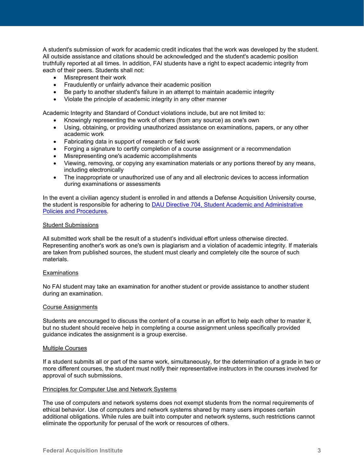A student's submission of work for academic credit indicates that the work was developed by the student. All outside assistance and citations should be acknowledged and the student's academic position truthfully reported at all times. In addition, FAI students have a right to expect academic integrity from each of their peers. Students shall not:

- Misrepresent their work
- Fraudulently or unfairly advance their academic position
- Be party to another student's failure in an attempt to maintain academic integrity
- Violate the principle of academic integrity in any other manner

Academic Integrity and Standard of Conduct violations include, but are not limited to:

- Knowingly representing the work of others (from any source) as one's own
- Using, obtaining, or providing unauthorized assistance on examinations, papers, or any other academic work
- Fabricating data in support of research or field work
- Forging a signature to certify completion of a course assignment or a recommendation
- Misrepresenting one's academic accomplishments
- Viewing, removing, or copying any examination materials or any portions thereof by any means, including electronically
- The inappropriate or unauthorized use of any and all electronic devices to access information during examinations or assessments

In the event a civilian agency student is enrolled in and attends a Defense Acquisition University course, the student is responsible for adhering to [DAU Directive 704, Student Academic and Administrative](https://dau365.sharepoint.com/:b:/s/PublicUse/EWmLMgjqijFDpcmzcKtse5MBIeMvywVJs_iAzBGpLmLOSg?e=ndqRJo)  [Policies and Procedures.](https://dau365.sharepoint.com/:b:/s/PublicUse/EWmLMgjqijFDpcmzcKtse5MBIeMvywVJs_iAzBGpLmLOSg?e=ndqRJo)

#### Student Submissions

All submitted work shall be the result of a student's individual effort unless otherwise directed. Representing another's work as one's own is plagiarism and a violation of academic integrity. If materials are taken from published sources, the student must clearly and completely cite the source of such materials.

#### Examinations

No FAI student may take an examination for another student or provide assistance to another student during an examination.

#### Course Assignments

Students are encouraged to discuss the content of a course in an effort to help each other to master it, but no student should receive help in completing a course assignment unless specifically provided guidance indicates the assignment is a group exercise.

#### Multiple Courses

If a student submits all or part of the same work, simultaneously, for the determination of a grade in two or more different courses, the student must notify their representative instructors in the courses involved for approval of such submissions.

#### Principles for Computer Use and Network Systems

The use of computers and network systems does not exempt students from the normal requirements of ethical behavior. Use of computers and network systems shared by many users imposes certain additional obligations. While rules are built into computer and network systems, such restrictions cannot eliminate the opportunity for perusal of the work or resources of others.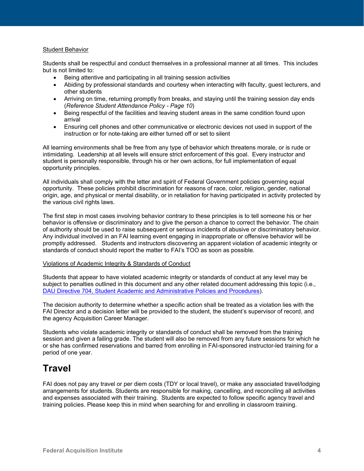#### Student Behavior

Students shall be respectful and conduct themselves in a professional manner at all times. This includes but is not limited to:

- Being attentive and participating in all training session activities
- Abiding by professional standards and courtesy when interacting with faculty, guest lecturers, and other students
- Arriving on time, returning promptly from breaks, and staying until the training session day ends (*Reference Student Attendance Policy - Page 10*)
- Being respectful of the facilities and leaving student areas in the same condition found upon arrival
- Ensuring cell phones and other communicative or electronic devices not used in support of the instruction or for note-taking are either turned off or set to silent

All learning environments shall be free from any type of behavior which threatens morale, or is rude or intimidating. Leadership at all levels will ensure strict enforcement of this goal. Every instructor and student is personally responsible, through his or her own actions, for full implementation of equal opportunity principles.

All individuals shall comply with the letter and spirit of Federal Government policies governing equal opportunity. These policies prohibit discrimination for reasons of race, color, religion, gender, national origin, age, and physical or mental disability, or in retaliation for having participated in activity protected by the various civil rights laws.

The first step in most cases involving behavior contrary to these principles is to tell someone his or her behavior is offensive or discriminatory and to give the person a chance to correct the behavior. The chain of authority should be used to raise subsequent or serious incidents of abusive or discriminatory behavior. Any individual involved in an FAI learning event engaging in inappropriate or offensive behavior will be promptly addressed. Students and instructors discovering an apparent violation of academic integrity or standards of conduct should report the matter to FAI's TOO as soon as possible.

#### Violations of Academic Integrity & Standards of Conduct

Students that appear to have violated academic integrity or standards of conduct at any level may be subject to penalties outlined in this document and any other related document addressing this topic (i.e., [DAU Directive 704, Student Academic and Administrative Policies and Procedures\)](https://dau365.sharepoint.com/:b:/s/PublicUse/EWmLMgjqijFDpcmzcKtse5MBIeMvywVJs_iAzBGpLmLOSg?e=ndqRJo).

The decision authority to determine whether a specific action shall be treated as a violation lies with the FAI Director and a decision letter will be provided to the student, the student's supervisor of record, and the agency Acquisition Career Manager.

Students who violate academic integrity or standards of conduct shall be removed from the training session and given a failing grade. The student will also be removed from any future sessions for which he or she has confirmed reservations and barred from enrolling in FAI-sponsored instructor-led training for a period of one year.

### <span id="page-5-0"></span>**Travel**

FAI does not pay any travel or per diem costs (TDY or local travel), or make any associated travel/lodging arrangements for students. Students are responsible for making, cancelling, and reconciling all activities and expenses associated with their training. Students are expected to follow specific agency travel and training policies. Please keep this in mind when searching for and enrolling in classroom training.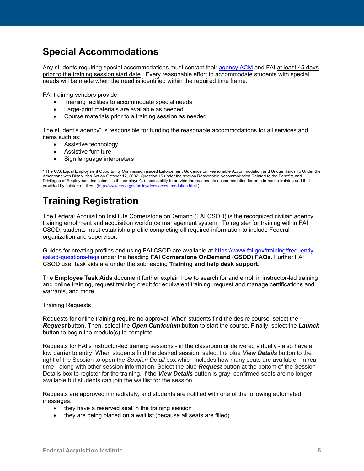### <span id="page-6-0"></span>**Special Accommodations**

Any students requiring special accommodations must contact their [agency ACM](https://www.fai.gov/humancapital/acm) and FAI at least 45 days prior to the training session start date. Every reasonable effort to accommodate students with special needs will be made when the need is identified within the required time frame.

FAI training vendors provide:

- Training facilities to accommodate special needs
- Large-print materials are available as needed
- Course materials prior to a training session as needed

The student's agency\* is responsible for funding the reasonable accommodations for all services and items such as:

- Assistive technology
- Assistive furniture
- Sign language interpreters

\* The U.S. Equal Employment Opportunity Commission issued Enforcement Guidance on Reasonable Accommodation and Undue Hardship Under the Americans with Disabilities Act on October 17, 2002. Question 15 under the section Reasonable Accommodation Related to the Benefits and Privileges of Employment indicates it is the employer's responsibility to provide the reasonable accommodation for both in-house training and that provided by outside entities. [\(http://www.eeoc.gov/policy/docs/accommodation.html.](http://www.eeoc.gov/policy/docs/accommodation.html))

# <span id="page-6-1"></span>**Training Registration**

The Federal Acquisition Institute Cornerstone onDemand (FAI CSOD) is the recognized civilian agency training enrollment and acquisition workforce management system. To register for training within FAI CSOD, students must establish a profile completing all required information to include Federal organization and supervisor.

Guides for creating profiles and using FAI CSOD are available at [https://www.fai.gov/training/frequently](https://www.fai.gov/training/frequently-asked-questions-faqs)[asked-questions-faqs](https://www.fai.gov/training/frequently-asked-questions-faqs) under the heading **FAI Cornerstone OnDemand (CSOD) FAQs**. Further FAI CSOD user task aids are under the subheading **Training and help desk support**.

The **Employee Task Aids** document further explain how to search for and enroll in instructor-led training and online training, request training credit for equivalent training, request and manage certifications and warrants, and more.

#### Training Requests

Requests for online training require no approval. When students find the desire course, select the *Request* button. Then, select the *Open Curriculum* button to start the course. Finally, select the *Launch* button to begin the module(s) to complete.

Requests for FAI's instructor-led training sessions - in the classroom or delivered virtually - also have a low barrier to entry. When students find the desired session, select the blue *View Details* button to the right of the Session to open the *Session Detail* box which includes how many seats are available - in real time - along with other session information. Select the blue *Request* button at the bottom of the Session Details box to register for the training. If the *View Details* button is gray, confirmed seats are no longer available but students can join the waitlist for the session.

Requests are approved immediately, and students are notified with one of the following automated messages:

- they have a reserved seat in the training session
- they are being placed on a waitlist (because all seats are filled)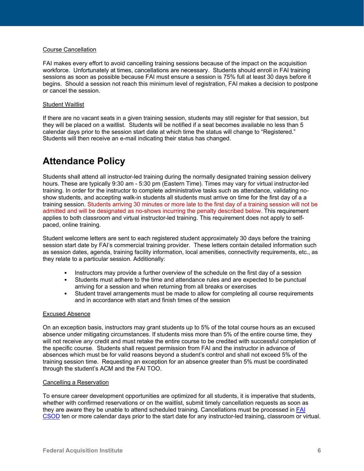#### Course Cancellation

FAI makes every effort to avoid cancelling training sessions because of the impact on the acquisition workforce. Unfortunately at times, cancellations are necessary. Students should enroll in FAI training sessions as soon as possible because FAI must ensure a session is 75% full at least 30 days before it begins. Should a session not reach this minimum level of registration, FAI makes a decision to postpone or cancel the session.

#### Student Waitlist

If there are no vacant seats in a given training session, students may still register for that session, but they will be placed on a waitlist. Students will be notified if a seat becomes available no less than 5 calendar days prior to the session start date at which time the status will change to "Registered." Students will then receive an e-mail indicating their status has changed.

### <span id="page-7-0"></span>**Attendance Policy**

Students shall attend all instructor-led training during the normally designated training session delivery hours. These are typically 9:30 am - 5:30 pm (Eastern Time). Times may vary for virtual instructor-led training. In order for the instructor to complete administrative tasks such as attendance, validating noshow students, and accepting walk-in students all students must arrive on time for the first day of a a training session. Students arriving 30 minutes or more late to the first day of a training session will not be admitted and will be designated as no-shows incurring the penalty described below. This requirement applies to both classroom and virtual instructor-led training. This requirement does not apply to selfpaced, online training.

Student welcome letters are sent to each registered student approximately 30 days before the training session start date by FAI's commercial training provider. These letters contain detailed information such as session dates, agenda, training facility information, local amenities, connectivity requirements, etc., as they relate to a particular session. Additionally:

- Instructors may provide a further overview of the schedule on the first day of a session
- Students must adhere to the time and attendance rules and are expected to be punctual arriving for a session and when returning from all breaks or exercises
- Student travel arrangements must be made to allow for completing all course requirements and in accordance with start and finish times of the session

#### Excused Absence

On an exception basis, instructors may grant students up to 5% of the total course hours as an excused absence under mitigating circumstances. If students miss more than 5% of the entire course time, they will not receive *any* credit and must retake the entire course to be credited with successful completion of the specific course*.* Students shall request permission from FAI and the instructor in advance of absences which must be for valid reasons beyond a student's control and shall not exceed 5% of the training session time. Requesting an exception for an absence greater than 5% must be coordinated through the student's ACM and the FAI TOO.

#### Cancelling a Reservation

To ensure career development opportunities are optimized for all students, it is imperative that students, whether with confirmed reservations or on the waitlist, submit timely cancellation requests as soon as they are aware they be unable to attend scheduled training. Cancellations must be processed in [FAI](https://dau.csod.com/) [CSOD](https://dau.csod.com/) ten or more calendar days prior to the start date for any instructor-led training, classroom or virtual.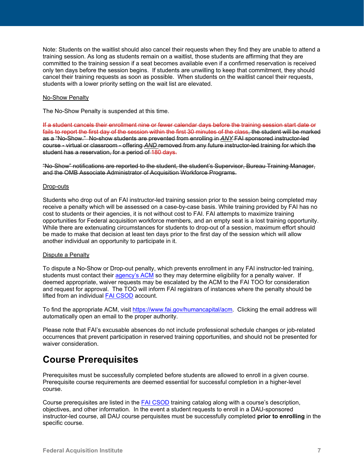Note: Students on the waitlist should also cancel their requests when they find they are unable to attend a training session. As long as students remain on a waitlist, those students are affirming that they are committed to the training session if a seat becomes available even if a confirmed reservation is received only ten days before the session begins. If students are unwilling to keep that commitment, they should cancel their training requests as soon as possible. When students on the waitlist cancel their requests, students with a lower priority setting on the wait list are elevated.

#### No-Show Penalty

The No-Show Penalty is suspended at this time.

If a student cancels their enrollment nine or fewer calendar days before the training session start date or fails to report the first day of the session within the first 30 minutes of the class, the student will be marked as a "No-Show." No-show students are prevented from enrolling in *ANY* FAI sponsored instructor-led course - virtual or classroom - offering *AND* removed from any future instructor-led training for which the student has a reservation, for a period of 180 days.

"No-Show" notifications are reported to the student, the student's Supervisor, Bureau Training Manager, and the OMB Associate Administrator of Acquisition Workforce Programs.

#### Drop-outs

Students who drop out of an FAI instructor-led training session prior to the session being completed may receive a penalty which will be assessed on a case-by-case basis. While training provided by FAI has no cost to students or their agencies, it is not without cost to FAI. FAI attempts to maximize training opportunities for Federal acquisition workforce members, and an empty seat is a lost training opportunity. While there are extenuating circumstances for students to drop-out of a session, maximum effort should be made to make that decision at least ten days prior to the first day of the session which will allow another individual an opportunity to participate in it.

#### Dispute a Penalty

To dispute a No-Show or Drop-out penalty, which prevents enrollment in any FAI instructor-led training, students must contact their [agency's ACM](https://www.fai.gov/humancapital/acm) so they may determine eligibility for a penalty waiver. If deemed appropriate, waiver requests may be escalated by the ACM to the FAI TOO for consideration and request for approval. The TOO will inform FAI registrars of instances where the penalty should be lifted from an individual FAI [CSOD](https://dau.csod.com/) account.

To find the appropriate ACM, visit [https://www.fai.gov/humancapital/acm.](https://www.fai.gov/humancapital/acm) Clicking the email address will automatically open an email to the proper authority.

Please note that FAI's excusable absences do not include professional schedule changes or job-related occurrences that prevent participation in reserved training opportunities, and should not be presented for waiver consideration.

### <span id="page-8-0"></span>**Course Prerequisites**

Prerequisites must be successfully completed before students are allowed to enroll in a given course. Prerequisite course requirements are deemed essential for successful completion in a higher-level course.

Course prerequisites are listed in the FAI [CSOD](https://dau.csod.com/) training catalog along with a course's description, objectives, and other information. In the event a student requests to enroll in a DAU-sponsored instructor-led course, all DAU course perquisites must be successfully completed **prior to enrolling** in the specific course.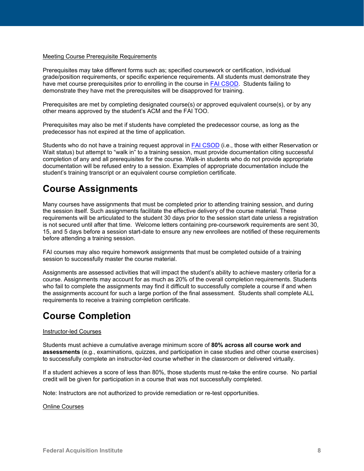#### Meeting Course Prerequisite Requirements

Prerequisites may take different forms such as; specified coursework or certification, individual grade/position requirements, or specific experience requirements. All students must demonstrate they have met course prerequisites prior to enrolling in the course in FAI [CSOD.](https://dau.csod.com/) Students failing to demonstrate they have met the prerequisites will be disapproved for training.

Prerequisites are met by completing designated course(s) or approved equivalent course(s), or by any other means approved by the student's ACM and the FAI TOO.

Prerequisites may also be met if students have completed the predecessor course, as long as the predecessor has not expired at the time of application.

Students who do not have a training request approval in FAI [CSOD](https://dau.csod.com/) (i.e., those with either Reservation or Wait status) but attempt to "walk in" to a training session, must provide documentation citing successful completion of any and all prerequisites for the course. Walk-in students who do not provide appropriate documentation will be refused entry to a session. Examples of appropriate documentation include the student's training transcript or an equivalent course completion certificate.

### <span id="page-9-0"></span>**Course Assignments**

Many courses have assignments that must be completed prior to attending training session, and during the session itself. Such assignments facilitate the effective delivery of the course material. These requirements will be articulated to the student 30 days prior to the session start date unless a registration is not secured until after that time. Welcome letters containing pre-coursework requirements are sent 30, 15, and 5 days before a session start-date to ensure any new enrollees are notified of these requirements before attending a training session.

FAI courses may also require homework assignments that must be completed outside of a training session to successfully master the course material.

Assignments are assessed activities that will impact the student's ability to achieve mastery criteria for a course. Assignments may account for as much as 20% of the overall completion requirements. Students who fail to complete the assignments may find it difficult to successfully complete a course if and when the assignments account for such a large portion of the final assessment. Students shall complete ALL requirements to receive a training completion certificate.

### <span id="page-9-1"></span>**Course Completion**

#### Instructor-led Courses

Students must achieve a cumulative average minimum score of **80% across all course work and assessments** (e.g., examinations, quizzes, and participation in case studies and other course exercises) to successfully complete an instructor-led course whether in the classroom or delivered virtually.

If a student achieves a score of less than 80%, those students must re-take the entire course. No partial credit will be given for participation in a course that was not successfully completed.

Note: Instructors are not authorized to provide remediation or re-test opportunities.

#### Online Courses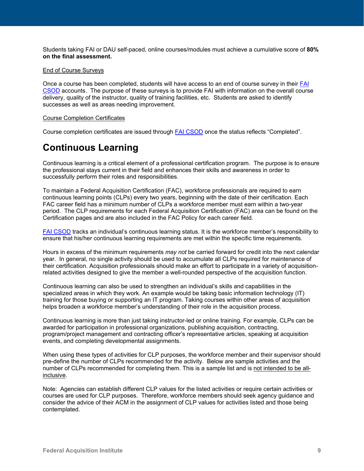Students taking FAI or DAU self-paced, online courses/modules must achieve a cumulative score of **80% on the final assessment.** 

#### End of Course Surveys

Once a course has been completed, students will have access to an end of course survey in their [FAI](https://dau.csod.com/) [CSOD](https://dau.csod.com/) accounts. The purpose of these surveys is to provide FAI with information on the overall course delivery, quality of the instructor, quality of training facilities, etc. Students are asked to identify successes as well as areas needing improvement.

#### Course Completion Certificates

Course completion certificates are issued through FAI [CSOD](https://dau.csod.com/) once the status reflects "Completed".

### <span id="page-10-0"></span>**Continuous Learning**

Continuous learning is a critical element of a professional certification program. The purpose is to ensure the professional stays current in their field and enhances their skills and awareness in order to successfully perform their roles and responsibilities.

To maintain a Federal Acquisition Certification (FAC), workforce professionals are required to earn continuous learning points (CLPs) every two years, beginning with the date of their certification. Each FAC career field has a minimum number of CLPs a workforce member must earn within a two-year period. The CLP requirements for each Federal Acquisition Certification (FAC) area can be found on the [Certification pages](https://www.fai.gov/drupal/certification/certification-and-career-development-programs) and are also included in the FAC Policy for each career field.

FAI [CSOD](https://dau.csod.com/) tracks an individual's continuous learning status. It is the workforce member's responsibility to ensure that his/her continuous learning requirements are met within the specific time requirements.

Hours in excess of the minimum requirements *may not* be carried forward for credit into the next calendar year. In general, no single activity should be used to accumulate all CLPs required for maintenance of their certification. Acquisition professionals should make an effort to participate in a variety of acquisitionrelated activities designed to give the member a well-rounded perspective of the acquisition function.

Continuous learning can also be used to strengthen an individual's skills and capabilities in the specialized areas in which they work. An example would be taking basic information technology (IT) training for those buying or supporting an IT program. Taking courses within other areas of acquisition helps broaden a workforce member's understanding of their role in the acquisition process.

Continuous learning is more than just taking instructor-led or online training. For example, CLPs can be awarded for participation in professional organizations, publishing acquisition, contracting, program/project management and contracting officer's representative articles, speaking at acquisition events, and completing developmental assignments.

When using these types of activities for CLP purposes, the workforce member and their supervisor should pre-define the number of CLPs recommended for the activity. Below are sample activities and the number of CLPs recommended for completing them. This is a sample list and is not intended to be allinclusive.

Note: Agencies can establish different CLP values for the listed activities or require certain activities or courses are used for CLP purposes. Therefore, workforce members should seek agency guidance and consider the advice of their ACM in the assignment of CLP values for activities listed and those being contemplated.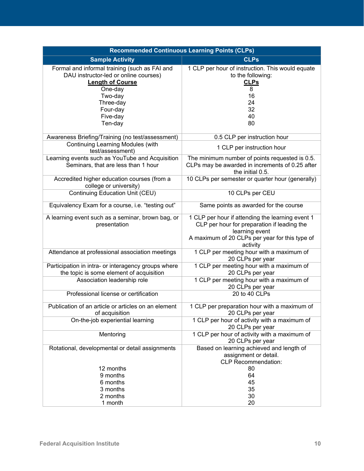| <b>Recommended Continuous Learning Points (CLPs)</b>                                                                         |                                                                                                                                                                                 |  |
|------------------------------------------------------------------------------------------------------------------------------|---------------------------------------------------------------------------------------------------------------------------------------------------------------------------------|--|
| <b>Sample Activity</b>                                                                                                       | <b>CLPs</b>                                                                                                                                                                     |  |
| Formal and informal training (such as FAI and<br>DAU instructor-led or online courses)<br><b>Length of Course</b><br>One-day | 1 CLP per hour of instruction. This would equate<br>to the following:<br><b>CLPs</b><br>8                                                                                       |  |
| Two-day<br>Three-day<br>Four-day<br>Five-day<br>Ten-day                                                                      | 16<br>24<br>32<br>40<br>80                                                                                                                                                      |  |
| Awareness Briefing/Training (no test/assessment)                                                                             | 0.5 CLP per instruction hour                                                                                                                                                    |  |
| <b>Continuing Learning Modules (with</b><br>test/assessment)                                                                 | 1 CLP per instruction hour                                                                                                                                                      |  |
| Learning events such as YouTube and Acquisition<br>Seminars, that are less than 1 hour                                       | The minimum number of points requested is 0.5.<br>CLPs may be awarded in increments of 0.25 after<br>the initial 0.5.                                                           |  |
| Accredited higher education courses (from a<br>college or university)                                                        | 10 CLPs per semester or quarter hour (generally)                                                                                                                                |  |
| <b>Continuing Education Unit (CEU)</b>                                                                                       | 10 CLPs per CEU                                                                                                                                                                 |  |
| Equivalency Exam for a course, i.e. "testing out"                                                                            | Same points as awarded for the course                                                                                                                                           |  |
| A learning event such as a seminar, brown bag, or<br>presentation                                                            | 1 CLP per hour if attending the learning event 1<br>CLP per hour for preparation if leading the<br>learning event<br>A maximum of 20 CLPs per year for this type of<br>activity |  |
| Attendance at professional association meetings                                                                              | 1 CLP per meeting hour with a maximum of<br>20 CLPs per year                                                                                                                    |  |
| Participation in intra- or interagency groups where<br>the topic is some element of acquisition                              | 1 CLP per meeting hour with a maximum of<br>20 CLPs per year                                                                                                                    |  |
| Association leadership role                                                                                                  | 1 CLP per meeting hour with a maximum of<br>20 CLPs per year                                                                                                                    |  |
| Professional license or certification                                                                                        | 20 to 40 CLPs                                                                                                                                                                   |  |
| Publication of an article or articles on an element<br>of acquisition                                                        | 1 CLP per preparation hour with a maximum of<br>20 CLPs per year                                                                                                                |  |
| On-the-job experiential learning                                                                                             | 1 CLP per hour of activity with a maximum of<br>20 CLPs per year                                                                                                                |  |
| Mentoring                                                                                                                    | 1 CLP per hour of activity with a maximum of<br>20 CLPs per year                                                                                                                |  |
| Rotational, developmental or detail assignments                                                                              | Based on learning achieved and length of<br>assignment or detail.<br><b>CLP Recommendation:</b>                                                                                 |  |
| 12 months<br>9 months                                                                                                        | 80<br>64                                                                                                                                                                        |  |
| 6 months                                                                                                                     | 45                                                                                                                                                                              |  |
| 3 months                                                                                                                     | 35                                                                                                                                                                              |  |
| 2 months<br>1 month                                                                                                          | 30<br>20                                                                                                                                                                        |  |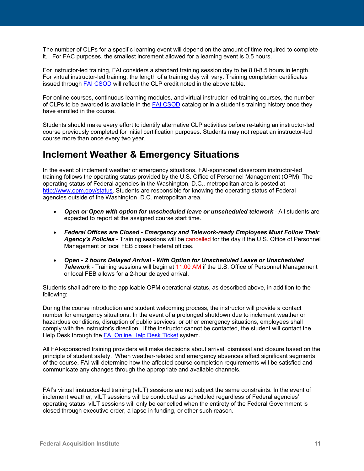The number of CLPs for a specific learning event will depend on the amount of time required to complete it. For FAC purposes, the smallest increment allowed for a learning event is 0.5 hours.

For instructor-led training, FAI considers a standard training session day to be 8.0-8.5 hours in length. For virtual instructor-led training, the length of a training day will vary. Training completion certificates issued through FAI [CSOD](https://dau.csod.com/) will reflect the CLP credit noted in the above table.

For online courses, continuous learning modules, and virtual instructor-led training courses, the number of CLPs to be awarded is available in the FAI [CSOD](https://dau.csod.com/) catalog or in a student's training history once they have enrolled in the course.

Students should make every effort to identify alternative CLP activities before re-taking an instructor-led course previously completed for initial certification purposes. Students may not repeat an instructor-led course more than once every two year.

### <span id="page-12-0"></span>**Inclement Weather & Emergency Situations**

In the event of inclement weather or emergency situations, FAI-sponsored classroom instructor-led training follows the operating status provided by the U.S. Office of Personnel Management (OPM). The operating status of Federal agencies in the Washington, D.C., metropolitan area is posted at [http://www.opm.gov/status.](http://www.opm.gov/status) Students are responsible for knowing the operating status of Federal agencies outside of the Washington, D.C. metropolitan area.

- *Open or Open with option for unscheduled leave or unscheduled telework* All students are expected to report at the assigned course start time.
- *Federal Offices are Closed Emergency and Telework-ready Employees Must Follow Their Agency's Policies* - Training sessions will be cancelled for the day if the U.S. Office of Personnel Management or local FEB closes Federal offices.
- *Open 2 hours Delayed Arrival With Option for Unscheduled Leave or Unscheduled*  **Telework** - Training sessions will begin at 11:00 AM if the U.S. Office of Personnel Management or local FEB allows for a 2-hour delayed arrival.

Students shall adhere to the applicable OPM operational status, as described above, in addition to the following:

During the course introduction and student welcoming process, the instructor will provide a contact number for emergency situations. In the event of a prolonged shutdown due to inclement weather or hazardous conditions, disruption of public services, or other emergency situations, employees shall comply with the instructor's direction. If the instructor cannot be contacted, the student will contact the Help Desk through the **FAI Online Help Desk Ticket system.** 

All FAI-sponsored training providers will make decisions about arrival, dismissal and closure based on the principle of student safety. When weather-related and emergency absences affect significant segments of the course, FAI will determine how the affected course completion requirements will be satisfied and communicate any changes through the appropriate and available channels.

FAI's virtual instructor-led training (vILT) sessions are not subject the same constraints. In the event of inclement weather, vILT sessions will be conducted as scheduled regardless of Federal agencies' operating status. vILT sessions will only be cancelled when the entirety of the Federal Government is closed through executive order, a lapse in funding, or other such reason.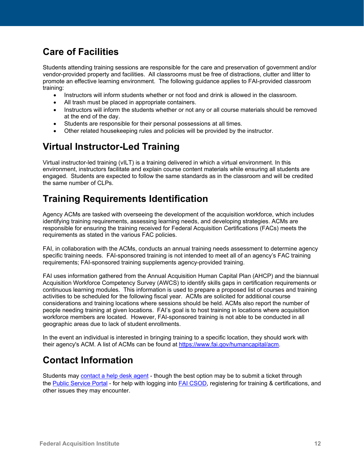### <span id="page-13-0"></span>**Care of Facilities**

Students attending training sessions are responsible for the care and preservation of government and/or vendor-provided property and facilities. All classrooms must be free of distractions, clutter and litter to promote an effective learning environment. The following guidance applies to FAI-provided classroom training:

- Instructors will inform students whether or not food and drink is allowed in the classroom.
- All trash must be placed in appropriate containers.
- Instructors will inform the students whether or not any or all course materials should be removed at the end of the day.
- Students are responsible for their personal possessions at all times.
- Other related housekeeping rules and policies will be provided by the instructor.

### <span id="page-13-1"></span>**Virtual Instructor-Led Training**

Virtual instructor-led training (vILT) is a [training](http://en.wikipedia.org/wiki/Training) delivered in which a [virtual environment.](http://en.wikipedia.org/wiki/Virtual_environment) In this environment, instructors facilitate and explain course content materials while ensuring all students are engaged. Students are expected to follow the same standards as in the classroom and will be credited the same number of CLPs.

# <span id="page-13-2"></span>**Training Requirements Identification**

Agency ACMs are tasked with overseeing the development of the acquisition workforce, which includes identifying training requirements, assessing learning needs, and developing strategies. ACMs are responsible for ensuring the training received for Federal Acquisition Certifications (FACs) meets the requirements as stated in the various FAC policies.

FAI, in collaboration with the ACMs, conducts an annual training needs assessment to determine agency specific training needs. FAI-sponsored training is not intended to meet all of an agency's FAC training requirements; FAI-sponsored training supplements agency-provided training.

FAI uses information gathered from the Annual Acquisition Human Capital Plan (AHCP) and the biannual Acquisition Workforce Competency Survey (AWCS) to identify skills gaps in certification requirements or continuous learning modules. This information is used to prepare a proposed list of courses and training activities to be scheduled for the following fiscal year. ACMs are solicited for additional course considerations and training locations where sessions should be held. ACMs also report the number of people needing training at given locations. FAI's goal is to host training in locations where acquisition workforce members are located. However, FAI-sponsored training is not able to be conducted in all geographic areas due to lack of student enrollments.

In the event an individual is interested in bringing training to a specific location, they should work with their agency's ACM. A list of ACMs can be found at [https://www.fai.gov/humancapital/acm.](https://www.fai.gov/humancapital/acm)

### <span id="page-13-3"></span>**Contact Information**

Students may [contact a help desk agent](https://www.dau.edu/helpdesk/p/contacting-an-agent) - though the best option may be to submit a ticket through the [Public Service Portal](https://services.dau.edu/psp?id=public_portal) - for help with logging into [FAI CSOD,](https://dau.csod.com/) registering for training & certifications, and other issues they may encounter.